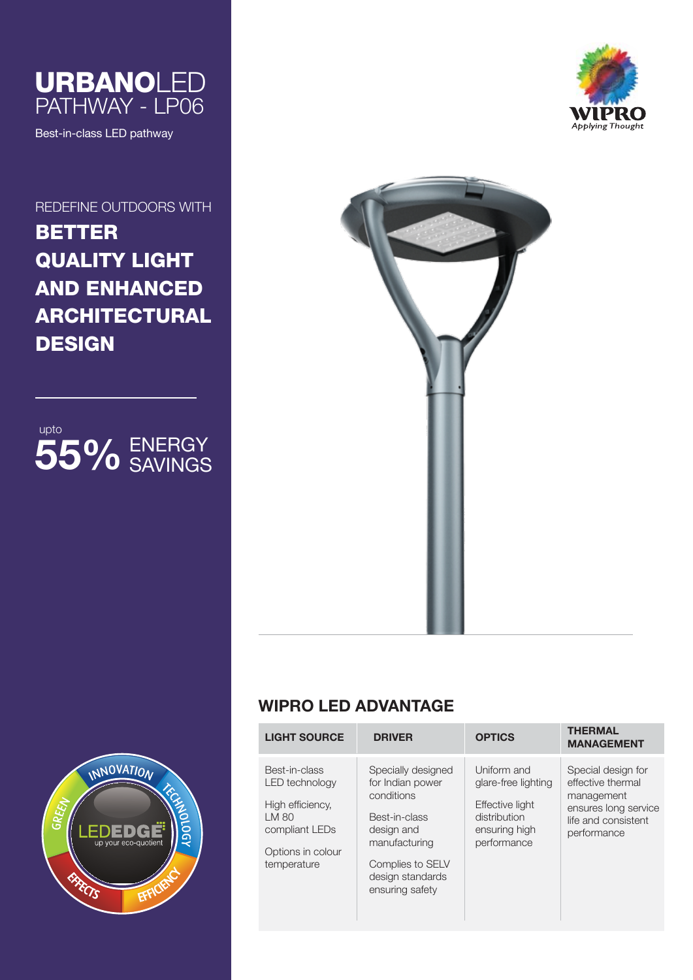

Best-in-class LED pathway

REDEFINE OUTDOORS WITH

# BETTER QUALITY LIGHT AND ENHANCED ARCHITECTURAL **DESIGN**









## **WIPRO LED ADVANTAGE**

| <b>LIGHT SOURCE</b>                                                                                                       | <b>DRIVER</b>                                                                                                                                                   | <b>OPTICS</b>                                                                                         | <b>THERMAL</b><br><b>MANAGEMENT</b>                                                                                 |
|---------------------------------------------------------------------------------------------------------------------------|-----------------------------------------------------------------------------------------------------------------------------------------------------------------|-------------------------------------------------------------------------------------------------------|---------------------------------------------------------------------------------------------------------------------|
| Best-in-class<br><b>LED</b> technology<br>High efficiency.<br>LM 80<br>compliant LEDs<br>Options in colour<br>temperature | Specially designed<br>for Indian power<br>conditions<br>Best-in-class<br>design and<br>manufacturing<br>Complies to SELV<br>design standards<br>ensuring safety | Uniform and<br>glare-free lighting<br>Effective light<br>distribution<br>ensuring high<br>performance | Special design for<br>effective thermal<br>management<br>ensures long service<br>life and consistent<br>performance |